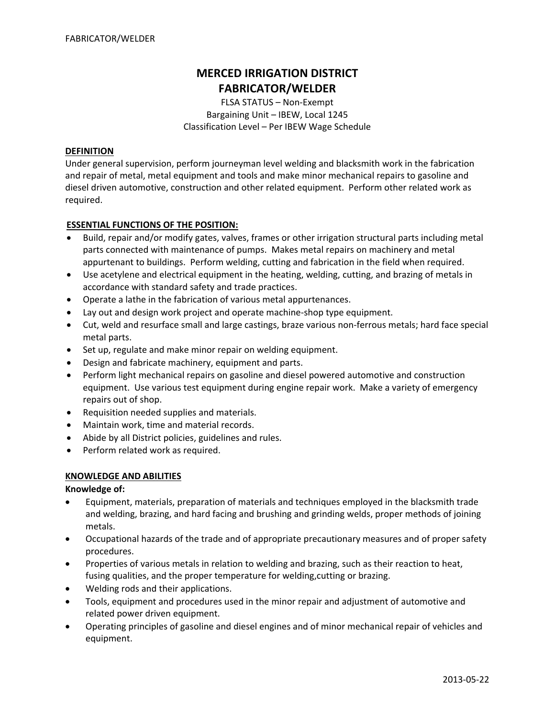# **MERCED IRRIGATION DISTRICT FABRICATOR/WELDER**

FLSA STATUS – Non‐Exempt Bargaining Unit – IBEW, Local 1245 Classification Level – Per IBEW Wage Schedule

## **DEFINITION**

Under general supervision, perform journeyman level welding and blacksmith work in the fabrication and repair of metal, metal equipment and tools and make minor mechanical repairs to gasoline and diesel driven automotive, construction and other related equipment. Perform other related work as required.

# **ESSENTIAL FUNCTIONS OF THE POSITION:**

- Build, repair and/or modify gates, valves, frames or other irrigation structural parts including metal parts connected with maintenance of pumps. Makes metal repairs on machinery and metal appurtenant to buildings. Perform welding, cutting and fabrication in the field when required.
- Use acetylene and electrical equipment in the heating, welding, cutting, and brazing of metals in accordance with standard safety and trade practices.
- Operate a lathe in the fabrication of various metal appurtenances.
- Lay out and design work project and operate machine‐shop type equipment.
- Cut, weld and resurface small and large castings, braze various non-ferrous metals; hard face special metal parts.
- Set up, regulate and make minor repair on welding equipment.
- Design and fabricate machinery, equipment and parts.
- Perform light mechanical repairs on gasoline and diesel powered automotive and construction equipment. Use various test equipment during engine repair work. Make a variety of emergency repairs out of shop.
- Requisition needed supplies and materials.
- Maintain work, time and material records.
- Abide by all District policies, guidelines and rules.
- Perform related work as required.

## **KNOWLEDGE AND ABILITIES**

## **Knowledge of:**

- Equipment, materials, preparation of materials and techniques employed in the blacksmith trade and welding, brazing, and hard facing and brushing and grinding welds, proper methods of joining metals.
- Occupational hazards of the trade and of appropriate precautionary measures and of proper safety procedures.
- Properties of various metals in relation to welding and brazing, such as their reaction to heat, fusing qualities, and the proper temperature for welding,cutting or brazing.
- Welding rods and their applications.
- Tools, equipment and procedures used in the minor repair and adjustment of automotive and related power driven equipment.
- Operating principles of gasoline and diesel engines and of minor mechanical repair of vehicles and equipment.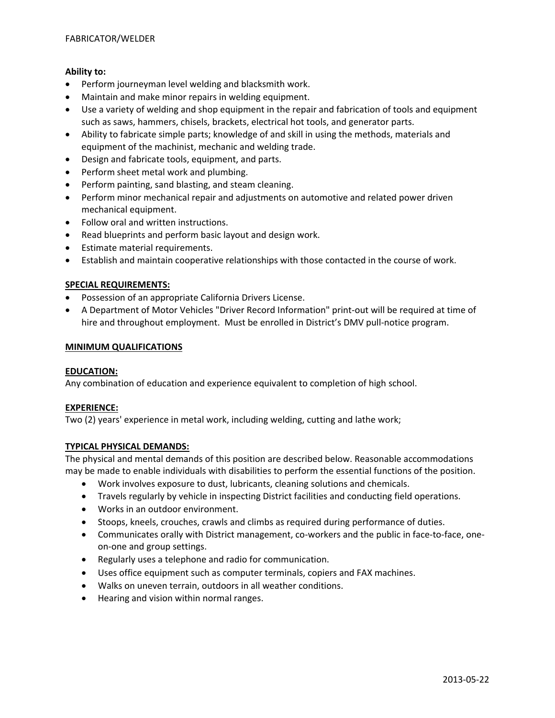# **Ability to:**

- Perform journeyman level welding and blacksmith work.
- Maintain and make minor repairs in welding equipment.
- Use a variety of welding and shop equipment in the repair and fabrication of tools and equipment such as saws, hammers, chisels, brackets, electrical hot tools, and generator parts.
- Ability to fabricate simple parts; knowledge of and skill in using the methods, materials and equipment of the machinist, mechanic and welding trade.
- Design and fabricate tools, equipment, and parts.
- Perform sheet metal work and plumbing.
- Perform painting, sand blasting, and steam cleaning.
- Perform minor mechanical repair and adjustments on automotive and related power driven mechanical equipment.
- Follow oral and written instructions.
- Read blueprints and perform basic layout and design work.
- Estimate material requirements.
- Establish and maintain cooperative relationships with those contacted in the course of work.

## **SPECIAL REQUIREMENTS:**

- Possession of an appropriate California Drivers License.
- A Department of Motor Vehicles "Driver Record Information" print‐out will be required at time of hire and throughout employment. Must be enrolled in District's DMV pull-notice program.

#### **MINIMUM QUALIFICATIONS**

## **EDUCATION:**

Any combination of education and experience equivalent to completion of high school.

## **EXPERIENCE:**

Two (2) years' experience in metal work, including welding, cutting and lathe work;

## **TYPICAL PHYSICAL DEMANDS:**

The physical and mental demands of this position are described below. Reasonable accommodations may be made to enable individuals with disabilities to perform the essential functions of the position.

- Work involves exposure to dust, lubricants, cleaning solutions and chemicals.
- Travels regularly by vehicle in inspecting District facilities and conducting field operations.
- Works in an outdoor environment.
- Stoops, kneels, crouches, crawls and climbs as required during performance of duties.
- Communicates orally with District management, co-workers and the public in face-to-face, oneon‐one and group settings.
- Regularly uses a telephone and radio for communication.
- Uses office equipment such as computer terminals, copiers and FAX machines.
- Walks on uneven terrain, outdoors in all weather conditions.
- Hearing and vision within normal ranges.